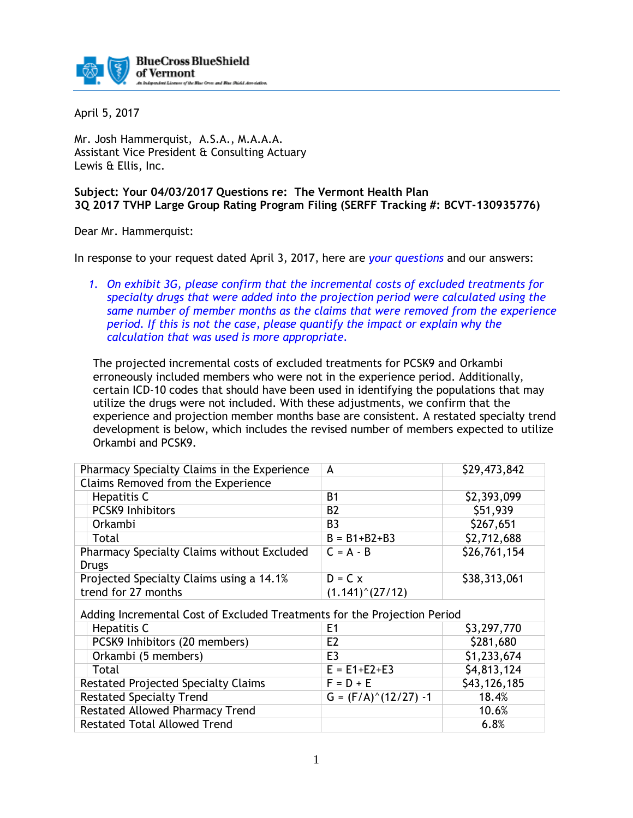

April 5, 2017

Mr. Josh Hammerquist, A.S.A., M.A.A.A. Assistant Vice President & Consulting Actuary Lewis & Ellis, Inc.

## **Subject: Your 04/03/2017 Questions re: The Vermont Health Plan 3Q 2017 TVHP Large Group Rating Program Filing (SERFF Tracking #: BCVT-130935776)**

Dear Mr. Hammerquist:

In response to your request dated April 3, 2017, here are *your questions* and our answers:

*1. On exhibit 3G, please confirm that the incremental costs of excluded treatments for specialty drugs that were added into the projection period were calculated using the same number of member months as the claims that were removed from the experience period. If this is not the case, please quantify the impact or explain why the calculation that was used is more appropriate.*

The projected incremental costs of excluded treatments for PCSK9 and Orkambi erroneously included members who were not in the experience period. Additionally, certain ICD-10 codes that should have been used in identifying the populations that may utilize the drugs were not included. With these adjustments, we confirm that the experience and projection member months base are consistent. A restated specialty trend development is below, which includes the revised number of members expected to utilize Orkambi and PCSK9.

| Pharmacy Specialty Claims in the Experience                              | A                         | \$29,473,842 |
|--------------------------------------------------------------------------|---------------------------|--------------|
| Claims Removed from the Experience                                       |                           |              |
| Hepatitis C                                                              | <b>B1</b>                 | \$2,393,099  |
| <b>PCSK9 Inhibitors</b>                                                  | <b>B2</b>                 | \$51,939     |
| Orkambi                                                                  | B <sub>3</sub>            | \$267,651    |
| Total                                                                    | $B = B1 + B2 + B3$        | \$2,712,688  |
| Pharmacy Specialty Claims without Excluded                               | $C = A - B$               | \$26,761,154 |
| <b>Drugs</b>                                                             |                           |              |
| Projected Specialty Claims using a 14.1%                                 | $D = C x$                 | \$38,313,061 |
| trend for 27 months                                                      | $(1.141)^{\wedge}(27/12)$ |              |
| Adding Incremental Cost of Excluded Treatments for the Projection Period |                           |              |
|                                                                          | E1                        |              |
| Hepatitis C                                                              |                           | \$3,297,770  |
| PCSK9 Inhibitors (20 members)                                            | E <sub>2</sub>            | \$281,680    |
| Orkambi (5 members)                                                      | E <sub>3</sub>            | \$1,233,674  |
| Total                                                                    | $E = E1 + E2 + E3$        | \$4,813,124  |
| <b>Restated Projected Specialty Claims</b>                               | $F = D + E$               | \$43,126,185 |
|                                                                          |                           |              |
| <b>Restated Specialty Trend</b>                                          | $G = (F/A)^(12/27) - 1$   | 18.4%        |
| <b>Restated Allowed Pharmacy Trend</b>                                   |                           | 10.6%        |